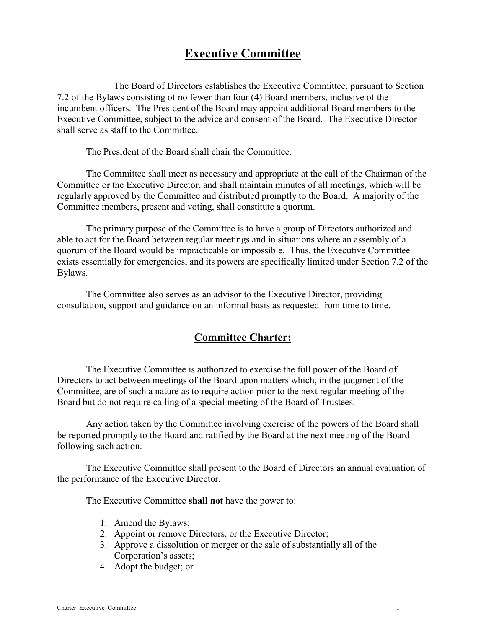## **Executive Committee**

The Board of Directors establishes the Executive Committee, pursuant to Section 7.2 of the Bylaws consisting of no fewer than four (4) Board members, inclusive of the incumbent officers. The President of the Board may appoint additional Board members to the Executive Committee, subject to the advice and consent of the Board. The Executive Director shall serve as staff to the Committee.

The President of the Board shall chair the Committee.

The Committee shall meet as necessary and appropriate at the call of the Chairman of the Committee or the Executive Director, and shall maintain minutes of all meetings, which will be regularly approved by the Committee and distributed promptly to the Board. A majority of the Committee members, present and voting, shall constitute a quorum.

The primary purpose of the Committee is to have a group of Directors authorized and able to act for the Board between regular meetings and in situations where an assembly of a quorum of the Board would be impracticable or impossible. Thus, the Executive Committee exists essentially for emergencies, and its powers are specifically limited under Section 7.2 of the Bylaws.

The Committee also serves as an advisor to the Executive Director, providing consultation, support and guidance on an informal basis as requested from time to time.

## **Committee Charter:**

The Executive Committee is authorized to exercise the full power of the Board of Directors to act between meetings of the Board upon matters which, in the judgment of the Committee, are of such a nature as to require action prior to the next regular meeting of the Board but do not require calling of a special meeting of the Board of Trustees.

Any action taken by the Committee involving exercise of the powers of the Board shall be reported promptly to the Board and ratified by the Board at the next meeting of the Board following such action.

The Executive Committee shall present to the Board of Directors an annual evaluation of the performance of the Executive Director.

The Executive Committee **shall not** have the power to:

- 1. Amend the Bylaws;
- 2. Appoint or remove Directors, or the Executive Director;
- 3. Approve a dissolution or merger or the sale of substantially all of the Corporation's assets;
- 4. Adopt the budget; or